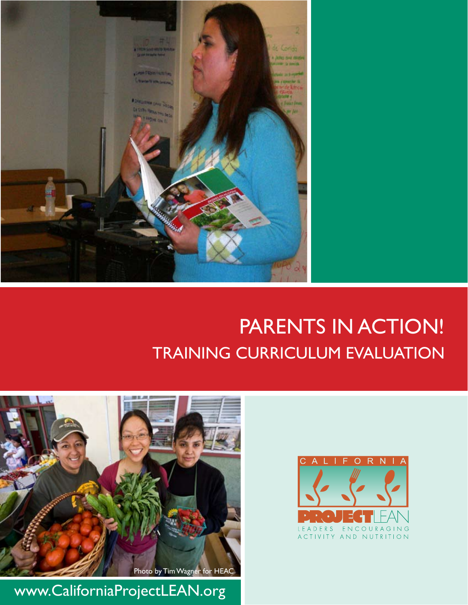

# PARENTS IN ACTION! TRAINING CURRICULUM EVALUATION



www.CaliforniaProjectLEAN.org

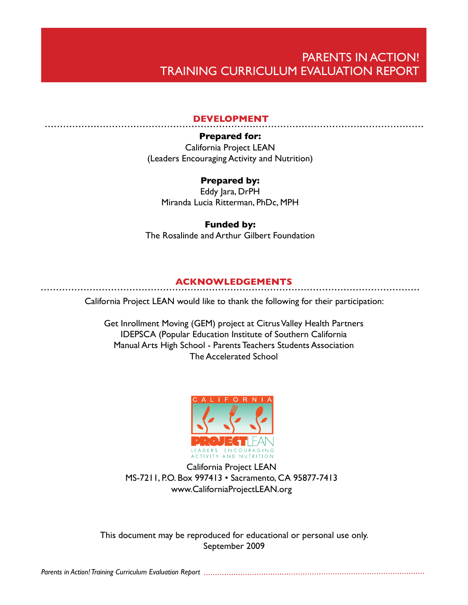## PARENTS IN ACTION! TRAINING CURRICULUM EVALUATION REPORT

#### **DEVELOPMENT**

#### **Prepared for:**

California Project LEAN (Leaders Encouraging Activity and Nutrition)

#### **Prepared by:**

Eddy Jara, DrPH Miranda Lucia Ritterman, PhDc, MPH

#### **Funded by:**

The Rosalinde and Arthur Gilbert Foundation

#### **ACKNOWLEDGEMENTS**

#### California Project LEAN would like to thank the following for their participation:

Get Inrollment Moving (GEM) project at Citrus Valley Health Partners IDEPSCA (Popular Education Institute of Southern California Manual Arts High School - Parents Teachers Students Association The Accelerated School



California Project LEAN MS-7211, P.O. Box 997413 • Sacramento, CA 95877-7413 www.CaliforniaProjectLEAN.org

This document may be reproduced for educational or personal use only. September 2009

*Parents in Action! Training Curriculum Evaluation Report*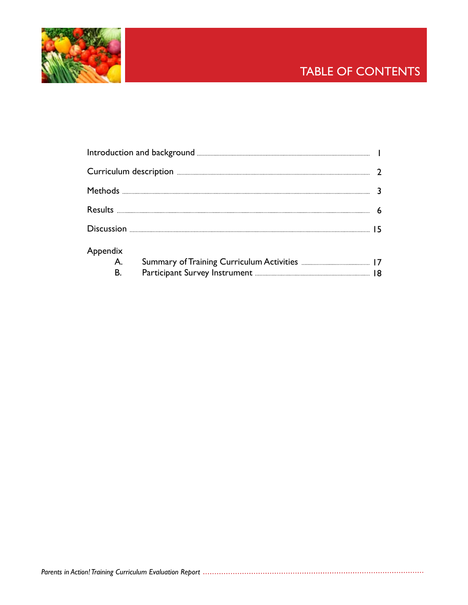

# TABLE OF CONTENTS

| Appendix  |  |
|-----------|--|
| A.        |  |
| <b>B.</b> |  |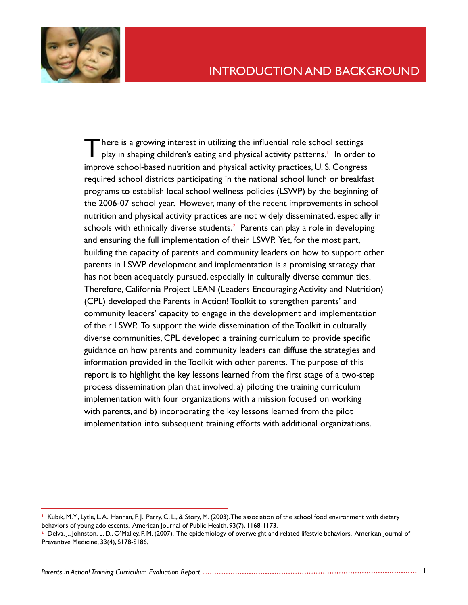

**There is a growing interest in utilizing the influential role school settings** play in shaping children's eating and physical activity patterns.<sup>1</sup> In order to improve school-based nutrition and physical activity practices, U. S. Congress required school districts participating in the national school lunch or breakfast programs to establish local school wellness policies (LSWP) by the beginning of the 2006-07 school year. However, many of the recent improvements in school nutrition and physical activity practices are not widely disseminated, especially in schools with ethnically diverse students. $2$  Parents can play a role in developing and ensuring the full implementation of their LSWP. Yet, for the most part, building the capacity of parents and community leaders on how to support other parents in LSWP development and implementation is a promising strategy that has not been adequately pursued, especially in culturally diverse communities. Therefore, California Project LEAN (Leaders Encouraging Activity and Nutrition) (CPL) developed the Parents in Action! Toolkit to strengthen parents' and community leaders' capacity to engage in the development and implementation of their LSWP. To support the wide dissemination of the Toolkit in culturally diverse communities, CPL developed a training curriculum to provide specific guidance on how parents and community leaders can diffuse the strategies and information provided in the Toolkit with other parents. The purpose of this report is to highlight the key lessons learned from the first stage of a two-step process dissemination plan that involved: a) piloting the training curriculum implementation with four organizations with a mission focused on working with parents, and b) incorporating the key lessons learned from the pilot implementation into subsequent training efforts with additional organizations.

<sup>1</sup> Kubik, M.Y., Lytle, L.A., Hannan, P.J., Perry, C. L., & Story, M. (2003). The association of the school food environment with dietary behaviors of young adolescents. American Journal of Public Health, 93(7), 1168-1173.

 $^2$  Delva, J., Johnston, L. D., O'Malley, P. M. (2007). The epidemiology of overweight and related lifestyle behaviors. American Journal of Preventive Medicine, 33(4), S178-S186.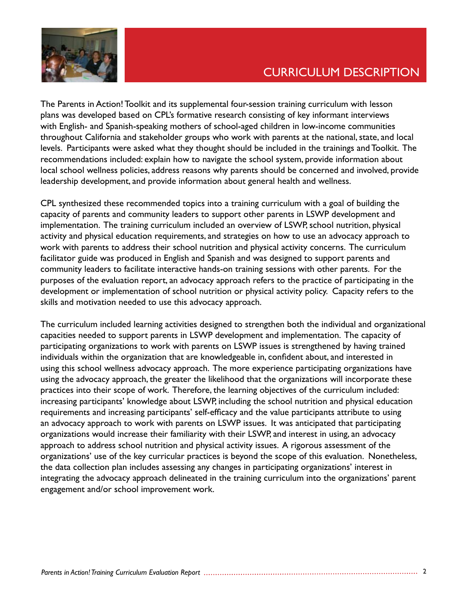

# CURRICULUM DESCRIPTION

The Parents in Action! Toolkit and its supplemental four-session training curriculum with lesson plans was developed based on CPL's formative research consisting of key informant interviews with English- and Spanish-speaking mothers of school-aged children in low-income communities throughout California and stakeholder groups who work with parents at the national, state, and local levels. Participants were asked what they thought should be included in the trainings and Toolkit. The recommendations included: explain how to navigate the school system, provide information about local school wellness policies, address reasons why parents should be concerned and involved, provide leadership development, and provide information about general health and wellness.

CPL synthesized these recommended topics into a training curriculum with a goal of building the capacity of parents and community leaders to support other parents in LSWP development and implementation. The training curriculum included an overview of LSWP, school nutrition, physical activity and physical education requirements, and strategies on how to use an advocacy approach to work with parents to address their school nutrition and physical activity concerns. The curriculum facilitator guide was produced in English and Spanish and was designed to support parents and community leaders to facilitate interactive hands-on training sessions with other parents. For the purposes of the evaluation report, an advocacy approach refers to the practice of participating in the development or implementation of school nutrition or physical activity policy. Capacity refers to the skills and motivation needed to use this advocacy approach.

The curriculum included learning activities designed to strengthen both the individual and organizational capacities needed to support parents in LSWP development and implementation. The capacity of participating organizations to work with parents on LSWP issues is strengthened by having trained individuals within the organization that are knowledgeable in, confident about, and interested in using this school wellness advocacy approach. The more experience participating organizations have using the advocacy approach, the greater the likelihood that the organizations will incorporate these practices into their scope of work. Therefore, the learning objectives of the curriculum included: increasing participants' knowledge about LSWP, including the school nutrition and physical education requirements and increasing participants' self-efficacy and the value participants attribute to using an advocacy approach to work with parents on LSWP issues. It was anticipated that participating organizations would increase their familiarity with their LSWP, and interest in using, an advocacy approach to address school nutrition and physical activity issues. A rigorous assessment of the organizations' use of the key curricular practices is beyond the scope of this evaluation. Nonetheless, the data collection plan includes assessing any changes in participating organizations' interest in integrating the advocacy approach delineated in the training curriculum into the organizations' parent engagement and/or school improvement work.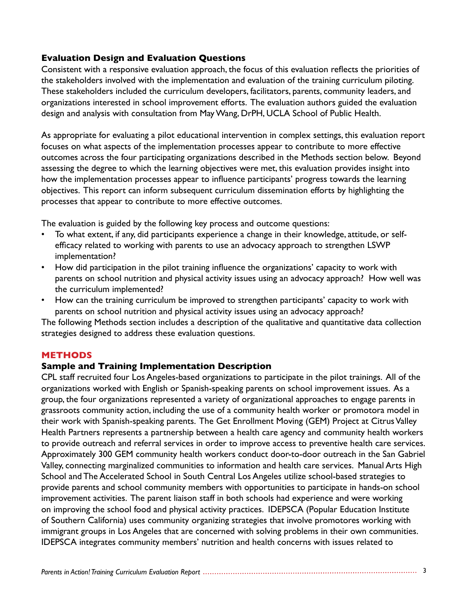#### **Evaluation Design and Evaluation Questions**

Consistent with a responsive evaluation approach, the focus of this evaluation reflects the priorities of the stakeholders involved with the implementation and evaluation of the training curriculum piloting. These stakeholders included the curriculum developers, facilitators, parents, community leaders, and organizations interested in school improvement efforts. The evaluation authors guided the evaluation design and analysis with consultation from May Wang, DrPH, UCLA School of Public Health.

As appropriate for evaluating a pilot educational intervention in complex settings, this evaluation report focuses on what aspects of the implementation processes appear to contribute to more effective outcomes across the four participating organizations described in the Methods section below. Beyond assessing the degree to which the learning objectives were met, this evaluation provides insight into how the implementation processes appear to influence participants' progress towards the learning objectives. This report can inform subsequent curriculum dissemination efforts by highlighting the processes that appear to contribute to more effective outcomes.

The evaluation is guided by the following key process and outcome questions:

- To what extent, if any, did participants experience a change in their knowledge, attitude, or selfefficacy related to working with parents to use an advocacy approach to strengthen LSWP implementation? •
- How did participation in the pilot training influence the organizations' capacity to work with parents on school nutrition and physical activity issues using an advocacy approach? How well was the curriculum implemented? •
- How can the training curriculum be improved to strengthen participants' capacity to work with parents on school nutrition and physical activity issues using an advocacy approach? •

The following Methods section includes a description of the qualitative and quantitative data collection strategies designed to address these evaluation questions.

#### **METHODS**

#### **Sample and Training Implementation Description**

CPL staff recruited four Los Angeles-based organizations to participate in the pilot trainings. All of the organizations worked with English or Spanish-speaking parents on school improvement issues. As a group, the four organizations represented a variety of organizational approaches to engage parents in grassroots community action, including the use of a community health worker or promotora model in their work with Spanish-speaking parents. The Get Enrollment Moving (GEM) Project at Citrus Valley Health Partners represents a partnership between a health care agency and community health workers to provide outreach and referral services in order to improve access to preventive health care services. Approximately 300 GEM community health workers conduct door-to-door outreach in the San Gabriel Valley, connecting marginalized communities to information and health care services. Manual Arts High School and The Accelerated School in South Central Los Angeles utilize school-based strategies to provide parents and school community members with opportunities to participate in hands-on school improvement activities. The parent liaison staff in both schools had experience and were working on improving the school food and physical activity practices. IDEPSCA (Popular Education Institute of Southern California) uses community organizing strategies that involve promotores working with immigrant groups in Los Angeles that are concerned with solving problems in their own communities. IDEPSCA integrates community members' nutrition and health concerns with issues related to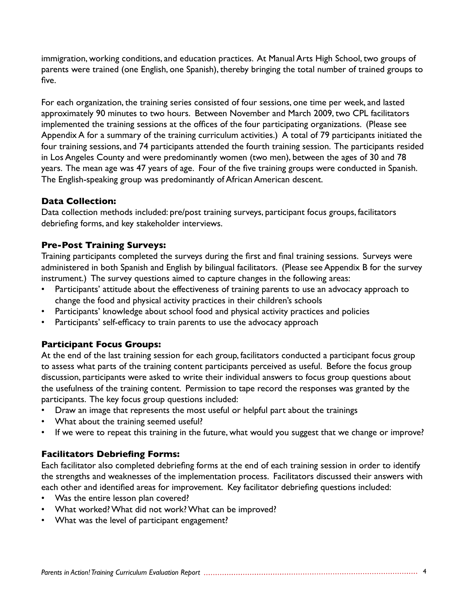immigration, working conditions, and education practices. At Manual Arts High School, two groups of parents were trained (one English, one Spanish), thereby bringing the total number of trained groups to five.

For each organization, the training series consisted of four sessions, one time per week, and lasted approximately 90 minutes to two hours. Between November and March 2009, two CPL facilitators implemented the training sessions at the offices of the four participating organizations. (Please see Appendix A for a summary of the training curriculum activities.) A total of 79 participants initiated the four training sessions, and 74 participants attended the fourth training session. The participants resided in Los Angeles County and were predominantly women (two men), between the ages of 30 and 78 years. The mean age was 47 years of age. Four of the five training groups were conducted in Spanish. The English-speaking group was predominantly of African American descent.

#### **Data Collection:**

Data collection methods included: pre/post training surveys, participant focus groups, facilitators debriefing forms, and key stakeholder interviews.

#### **Pre-Post Training Surveys:**

Training participants completed the surveys during the first and final training sessions. Surveys were administered in both Spanish and English by bilingual facilitators. (Please see Appendix B for the survey instrument.) The survey questions aimed to capture changes in the following areas:

- Participants' attitude about the effectiveness of training parents to use an advocacy approach to change the food and physical activity practices in their children's schools •
- Participants' knowledge about school food and physical activity practices and policies •
- Participants' self-efficacy to train parents to use the advocacy approach •

#### **Participant Focus Groups:**

At the end of the last training session for each group, facilitators conducted a participant focus group to assess what parts of the training content participants perceived as useful. Before the focus group discussion, participants were asked to write their individual answers to focus group questions about the usefulness of the training content. Permission to tape record the responses was granted by the participants. The key focus group questions included:

- Draw an image that represents the most useful or helpful part about the trainings •
- What about the training seemed useful? •
- If we were to repeat this training in the future, what would you suggest that we change or improve? •

#### **Facilitators Debriefing Forms:**

Each facilitator also completed debriefing forms at the end of each training session in order to identify the strengths and weaknesses of the implementation process. Facilitators discussed their answers with each other and identified areas for improvement. Key facilitator debriefing questions included:

- Was the entire lesson plan covered? •
- What worked? What did not work? What can be improved? •
- What was the level of participant engagement? •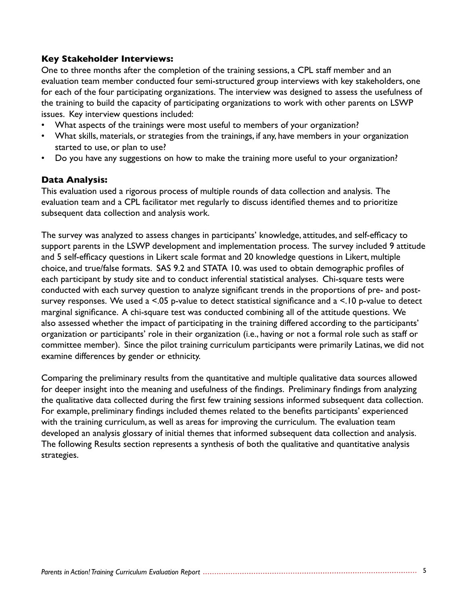#### **Key Stakeholder Interviews:**

One to three months after the completion of the training sessions, a CPL staff member and an evaluation team member conducted four semi-structured group interviews with key stakeholders, one for each of the four participating organizations. The interview was designed to assess the usefulness of the training to build the capacity of participating organizations to work with other parents on LSWP issues. Key interview questions included:

- What aspects of the trainings were most useful to members of your organization? •
- What skills, materials, or strategies from the trainings, if any, have members in your organization started to use, or plan to use? •
- Do you have any suggestions on how to make the training more useful to your organization? •

#### **Data Analysis:**

This evaluation used a rigorous process of multiple rounds of data collection and analysis. The evaluation team and a CPL facilitator met regularly to discuss identified themes and to prioritize subsequent data collection and analysis work.

The survey was analyzed to assess changes in participants' knowledge, attitudes, and self-efficacy to support parents in the LSWP development and implementation process. The survey included 9 attitude and 5 self-efficacy questions in Likert scale format and 20 knowledge questions in Likert, multiple choice, and true/false formats. SAS 9.2 and STATA 10. was used to obtain demographic profiles of each participant by study site and to conduct inferential statistical analyses. Chi-square tests were conducted with each survey question to analyze significant trends in the proportions of pre- and postsurvey responses. We used a <.05 p-value to detect statistical significance and a <.10 p-value to detect marginal significance. A chi-square test was conducted combining all of the attitude questions. We also assessed whether the impact of participating in the training differed according to the participants' organization or participants' role in their organization (i.e., having or not a formal role such as staff or committee member). Since the pilot training curriculum participants were primarily Latinas, we did not examine differences by gender or ethnicity.

Comparing the preliminary results from the quantitative and multiple qualitative data sources allowed for deeper insight into the meaning and usefulness of the findings. Preliminary findings from analyzing the qualitative data collected during the first few training sessions informed subsequent data collection. For example, preliminary findings included themes related to the benefits participants' experienced with the training curriculum, as well as areas for improving the curriculum. The evaluation team developed an analysis glossary of initial themes that informed subsequent data collection and analysis. The following Results section represents a synthesis of both the qualitative and quantitative analysis strategies.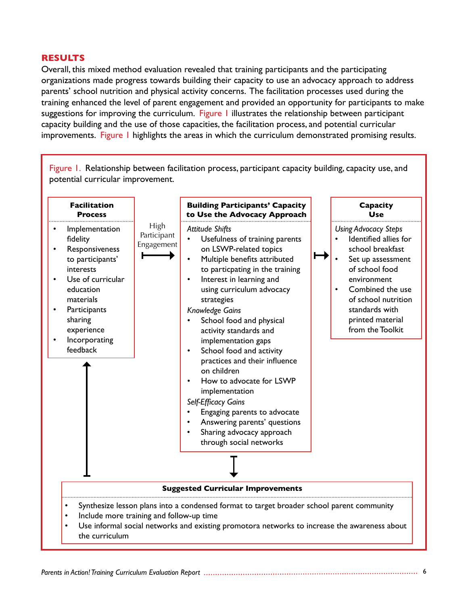#### **RESULTS**

Overall, this mixed method evaluation revealed that training participants and the participating organizations made progress towards building their capacity to use an advocacy approach to address parents' school nutrition and physical activity concerns. The facilitation processes used during the training enhanced the level of parent engagement and provided an opportunity for participants to make suggestions for improving the curriculum. Figure 1 illustrates the relationship between participant capacity building and the use of those capacities, the facilitation process, and potential curricular improvements. Figure 1 highlights the areas in which the curriculum demonstrated promising results.

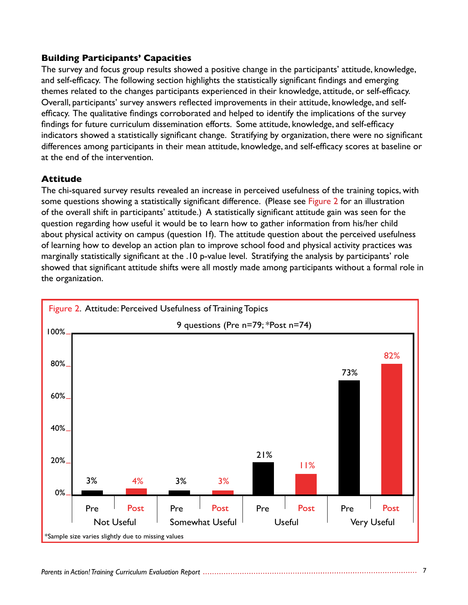#### **Building Participants' Capacities**

The survey and focus group results showed a positive change in the participants' attitude, knowledge, and self-efficacy. The following section highlights the statistically significant findings and emerging themes related to the changes participants experienced in their knowledge, attitude, or self-efficacy. Overall, participants' survey answers reflected improvements in their attitude, knowledge, and selfefficacy. The qualitative findings corroborated and helped to identify the implications of the survey findings for future curriculum dissemination efforts. Some attitude, knowledge, and self-efficacy indicators showed a statistically significant change. Stratifying by organization, there were no significant differences among participants in their mean attitude, knowledge, and self-efficacy scores at baseline or at the end of the intervention.

#### **Attitude**

The chi-squared survey results revealed an increase in perceived usefulness of the training topics, with some questions showing a statistically significant difference. (Please see Figure 2 for an illustration of the overall shift in participants' attitude.) A statistically significant attitude gain was seen for the question regarding how useful it would be to learn how to gather information from his/her child about physical activity on campus (question 1f). The attitude question about the perceived usefulness of learning how to develop an action plan to improve school food and physical activity practices was marginally statistically significant at the .10 p-value level. Stratifying the analysis by participants' role showed that significant attitude shifts were all mostly made among participants without a formal role in the organization.

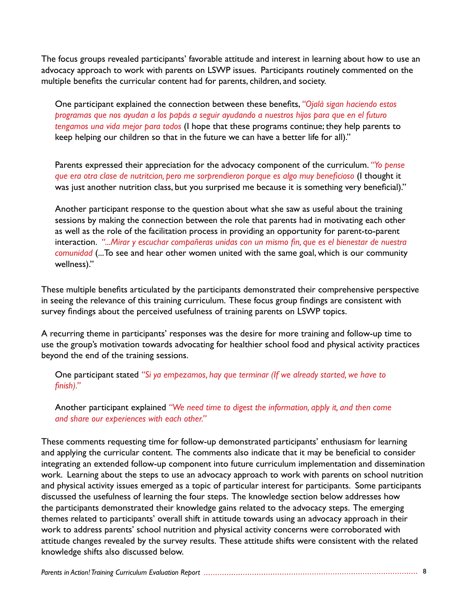The focus groups revealed participants' favorable attitude and interest in learning about how to use an advocacy approach to work with parents on LSWP issues. Participants routinely commented on the multiple benefits the curricular content had for parents, children, and society.

One participant explained the connection between these benefits, *"Ojalá sigan haciendo estos programas que nos ayudan a los papás a seguir ayudando a nuestros hijos para que en el futuro tengamos una vida mejor para todos* (I hope that these programs continue; they help parents to keep helping our children so that in the future we can have a better life for all)."

Parents expressed their appreciation for the advocacy component of the curriculum. *"Yo pense que era otra clase de nutritcion, pero me sorprendieron porque es algo muy beneficioso* (I thought it was just another nutrition class, but you surprised me because it is something very beneficial)."

Another participant response to the question about what she saw as useful about the training sessions by making the connection between the role that parents had in motivating each other as well as the role of the facilitation process in providing an opportunity for parent-to-parent interaction. *"...Mirar y escuchar compañeras unidas con un mismo fin, que es el bienestar de nuestra comunidad* (...To see and hear other women united with the same goal, which is our community wellness)."

These multiple benefits articulated by the participants demonstrated their comprehensive perspective in seeing the relevance of this training curriculum. These focus group findings are consistent with survey findings about the perceived usefulness of training parents on LSWP topics.

A recurring theme in participants' responses was the desire for more training and follow-up time to use the group's motivation towards advocating for healthier school food and physical activity practices beyond the end of the training sessions.

One participant stated *"Si ya empezamos, hay que terminar (If we already started, we have to finish)."*

Another participant explained *"We need time to digest the information, apply it, and then come and share our experiences with each other."*

These comments requesting time for follow-up demonstrated participants' enthusiasm for learning and applying the curricular content. The comments also indicate that it may be beneficial to consider integrating an extended follow-up component into future curriculum implementation and dissemination work. Learning about the steps to use an advocacy approach to work with parents on school nutrition and physical activity issues emerged as a topic of particular interest for participants. Some participants discussed the usefulness of learning the four steps. The knowledge section below addresses how the participants demonstrated their knowledge gains related to the advocacy steps. The emerging themes related to participants' overall shift in attitude towards using an advocacy approach in their work to address parents' school nutrition and physical activity concerns were corroborated with attitude changes revealed by the survey results. These attitude shifts were consistent with the related knowledge shifts also discussed below.

#### *Parents in Action! Training Curriculum Evaluation Report* 8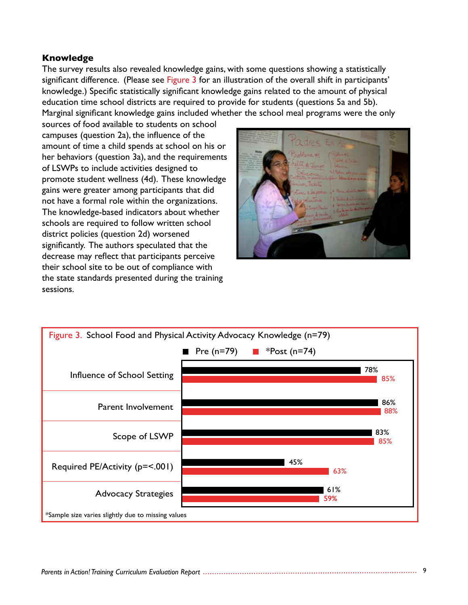#### **Knowledge**

The survey results also revealed knowledge gains, with some questions showing a statistically significant difference. (Please see Figure 3 for an illustration of the overall shift in participants' knowledge.) Specific statistically significant knowledge gains related to the amount of physical education time school districts are required to provide for students (questions 5a and 5b). Marginal significant knowledge gains included whether the school meal programs were the only

sources of food available to students on school campuses (question 2a), the influence of the amount of time a child spends at school on his or her behaviors (question 3a), and the requirements of LSWPs to include activities designed to promote student wellness (4d). These knowledge gains were greater among participants that did not have a formal role within the organizations. The knowledge-based indicators about whether schools are required to follow written school district policies (question 2d) worsened significantly. The authors speculated that the decrease may reflect that participants perceive their school site to be out of compliance with the state standards presented during the training sessions.



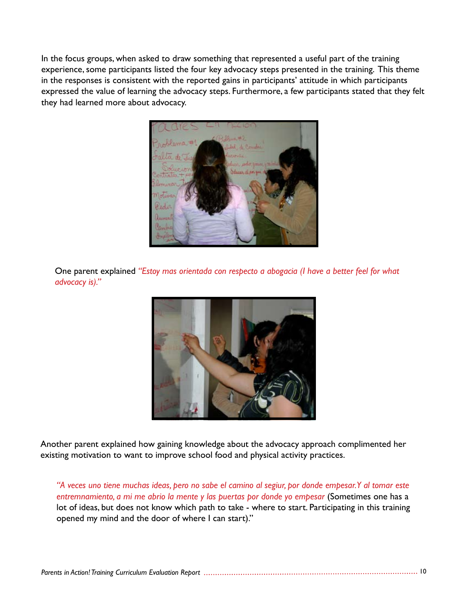In the focus groups, when asked to draw something that represented a useful part of the training experience, some participants listed the four key advocacy steps presented in the training. This theme in the responses is consistent with the reported gains in participants' attitude in which participants expressed the value of learning the advocacy steps. Furthermore, a few participants stated that they felt they had learned more about advocacy.



One parent explained *"Estoy mas orientada con respecto a abogacia (I have a better feel for what advocacy is)."*



Another parent explained how gaining knowledge about the advocacy approach complimented her existing motivation to want to improve school food and physical activity practices.

*"A veces uno tiene muchas ideas, pero no sabe el camino al segiur, por donde empesar. Y al tomar este entremnamiento, a mi me abrio la mente y las puertas por donde yo empesar* (Sometimes one has a lot of ideas, but does not know which path to take - where to start. Participating in this training opened my mind and the door of where I can start)."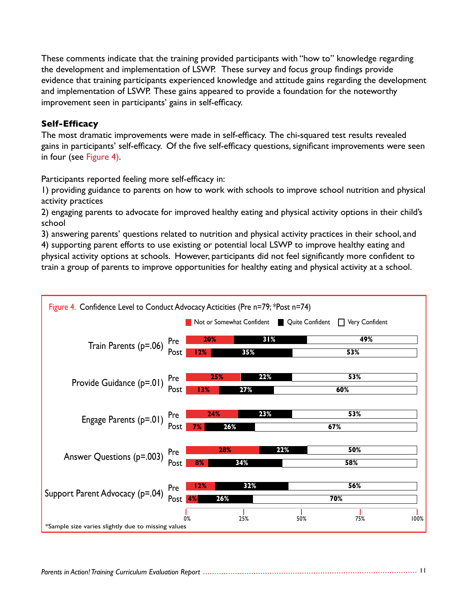These comments indicate that the training provided participants with "how to" knowledge regarding the development and implementation of LSWP. These survey and focus group findings provide evidence that training participants experienced knowledge and attitude gains regarding the development and implementation of LSWP. These gains appeared to provide a foundation for the noteworthy improvement seen in participants' gains in self-efficacy.

#### **Self-Efficacy**

The most dramatic improvements were made in self-efficacy. The chi-squared test results revealed gains in participants' self-efficacy. Of the five self-efficacy questions, significant improvements were seen in four (see Figure 4).

Participants reported feeling more self-efficacy in:

1) providing guidance to parents on how to work with schools to improve school nutrition and physical activity practices

2) engaging parents to advocate for improved healthy eating and physical activity options in their child's school

3) answering parents' questions related to nutrition and physical activity practices in their school, and 4) supporting parent efforts to use existing or potential local LSWP to improve healthy eating and physical activity options at schools. However, participants did not feel significantly more confident to train a group of parents to improve opportunities for healthy eating and physical activity at a school.

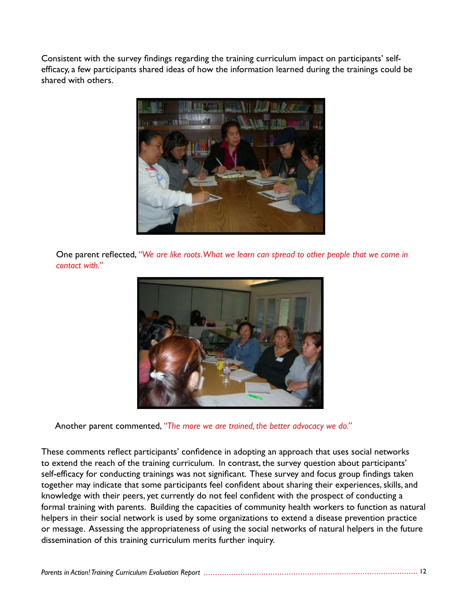Consistent with the survey findings regarding the training curriculum impact on participants' selfefficacy, a few participants shared ideas of how the information learned during the trainings could be shared with others.



One parent reflected, *"We are like roots. What we learn can spread to other people that we come in contact with."*



Another parent commented, *"The more we are trained, the better advocacy we do."*

These comments reflect participants' confidence in adopting an approach that uses social networks to extend the reach of the training curriculum. In contrast, the survey question about participants' self-efficacy for conducting trainings was not significant. These survey and focus group findings taken together may indicate that some participants feel confident about sharing their experiences, skills, and knowledge with their peers, yet currently do not feel confident with the prospect of conducting a formal training with parents. Building the capacities of community health workers to function as natural helpers in their social network is used by some organizations to extend a disease prevention practice or message. Assessing the appropriateness of using the social networks of natural helpers in the future dissemination of this training curriculum merits further inquiry.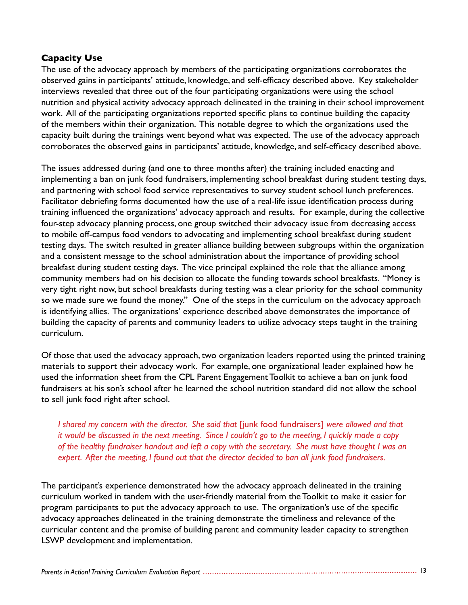#### **Capacity Use**

The use of the advocacy approach by members of the participating organizations corroborates the observed gains in participants' attitude, knowledge, and self-efficacy described above. Key stakeholder interviews revealed that three out of the four participating organizations were using the school nutrition and physical activity advocacy approach delineated in the training in their school improvement work. All of the participating organizations reported specific plans to continue building the capacity of the members within their organization. This notable degree to which the organizations used the capacity built during the trainings went beyond what was expected. The use of the advocacy approach corroborates the observed gains in participants' attitude, knowledge, and self-efficacy described above.

The issues addressed during (and one to three months after) the training included enacting and implementing a ban on junk food fundraisers, implementing school breakfast during student testing days, and partnering with school food service representatives to survey student school lunch preferences. Facilitator debriefing forms documented how the use of a real-life issue identification process during training influenced the organizations' advocacy approach and results. For example, during the collective four-step advocacy planning process, one group switched their advocacy issue from decreasing access to mobile off-campus food vendors to advocating and implementing school breakfast during student testing days. The switch resulted in greater alliance building between subgroups within the organization and a consistent message to the school administration about the importance of providing school breakfast during student testing days. The vice principal explained the role that the alliance among community members had on his decision to allocate the funding towards school breakfasts. "Money is very tight right now, but school breakfasts during testing was a clear priority for the school community so we made sure we found the money." One of the steps in the curriculum on the advocacy approach is identifying allies. The organizations' experience described above demonstrates the importance of building the capacity of parents and community leaders to utilize advocacy steps taught in the training curriculum.

Of those that used the advocacy approach, two organization leaders reported using the printed training materials to support their advocacy work. For example, one organizational leader explained how he used the information sheet from the CPL Parent Engagement Toolkit to achieve a ban on junk food fundraisers at his son's school after he learned the school nutrition standard did not allow the school to sell junk food right after school.

*I shared my concern with the director. She said that* [junk food fundraisers] *were allowed and that it would be discussed in the next meeting. Since I couldn't go to the meeting, I quickly made a copy of the healthy fundraiser handout and left a copy with the secretary. She must have thought I was an expert. After the meeting, I found out that the director decided to ban all junk food fundraisers.*

The participant's experience demonstrated how the advocacy approach delineated in the training curriculum worked in tandem with the user-friendly material from the Toolkit to make it easier for program participants to put the advocacy approach to use. The organization's use of the specific advocacy approaches delineated in the training demonstrate the timeliness and relevance of the curricular content and the promise of building parent and community leader capacity to strengthen LSWP development and implementation.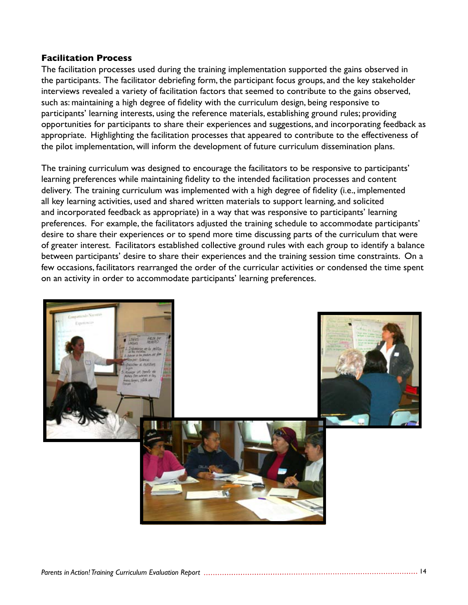#### **Facilitation Process**

The facilitation processes used during the training implementation supported the gains observed in the participants. The facilitator debriefing form, the participant focus groups, and the key stakeholder interviews revealed a variety of facilitation factors that seemed to contribute to the gains observed, such as: maintaining a high degree of fidelity with the curriculum design, being responsive to participants' learning interests, using the reference materials, establishing ground rules; providing opportunities for participants to share their experiences and suggestions, and incorporating feedback as appropriate. Highlighting the facilitation processes that appeared to contribute to the effectiveness of the pilot implementation, will inform the development of future curriculum dissemination plans.

The training curriculum was designed to encourage the facilitators to be responsive to participants' learning preferences while maintaining fidelity to the intended facilitation processes and content delivery. The training curriculum was implemented with a high degree of fidelity (i.e., implemented all key learning activities, used and shared written materials to support learning, and solicited and incorporated feedback as appropriate) in a way that was responsive to participants' learning preferences. For example, the facilitators adjusted the training schedule to accommodate participants' desire to share their experiences or to spend more time discussing parts of the curriculum that were of greater interest. Facilitators established collective ground rules with each group to identify a balance between participants' desire to share their experiences and the training session time constraints. On a few occasions, facilitators rearranged the order of the curricular activities or condensed the time spent on an activity in order to accommodate participants' learning preferences.

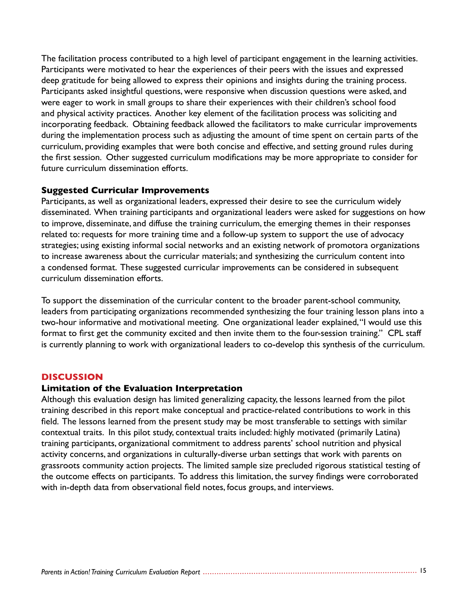The facilitation process contributed to a high level of participant engagement in the learning activities. Participants were motivated to hear the experiences of their peers with the issues and expressed deep gratitude for being allowed to express their opinions and insights during the training process. Participants asked insightful questions, were responsive when discussion questions were asked, and were eager to work in small groups to share their experiences with their children's school food and physical activity practices. Another key element of the facilitation process was soliciting and incorporating feedback. Obtaining feedback allowed the facilitators to make curricular improvements during the implementation process such as adjusting the amount of time spent on certain parts of the curriculum, providing examples that were both concise and effective, and setting ground rules during the first session. Other suggested curriculum modifications may be more appropriate to consider for future curriculum dissemination efforts.

#### **Suggested Curricular Improvements**

Participants, as well as organizational leaders, expressed their desire to see the curriculum widely disseminated. When training participants and organizational leaders were asked for suggestions on how to improve, disseminate, and diffuse the training curriculum, the emerging themes in their responses related to: requests for more training time and a follow-up system to support the use of advocacy strategies; using existing informal social networks and an existing network of promotora organizations to increase awareness about the curricular materials; and synthesizing the curriculum content into a condensed format. These suggested curricular improvements can be considered in subsequent curriculum dissemination efforts.

To support the dissemination of the curricular content to the broader parent-school community, leaders from participating organizations recommended synthesizing the four training lesson plans into a two-hour informative and motivational meeting. One organizational leader explained, "I would use this format to first get the community excited and then invite them to the four-session training." CPL staff is currently planning to work with organizational leaders to co-develop this synthesis of the curriculum.

#### **DISCUSSION**

#### **Limitation of the Evaluation Interpretation**

Although this evaluation design has limited generalizing capacity, the lessons learned from the pilot training described in this report make conceptual and practice-related contributions to work in this field. The lessons learned from the present study may be most transferable to settings with similar contextual traits. In this pilot study, contextual traits included: highly motivated (primarily Latina) training participants, organizational commitment to address parents' school nutrition and physical activity concerns, and organizations in culturally-diverse urban settings that work with parents on grassroots community action projects. The limited sample size precluded rigorous statistical testing of the outcome effects on participants. To address this limitation, the survey findings were corroborated with in-depth data from observational field notes, focus groups, and interviews.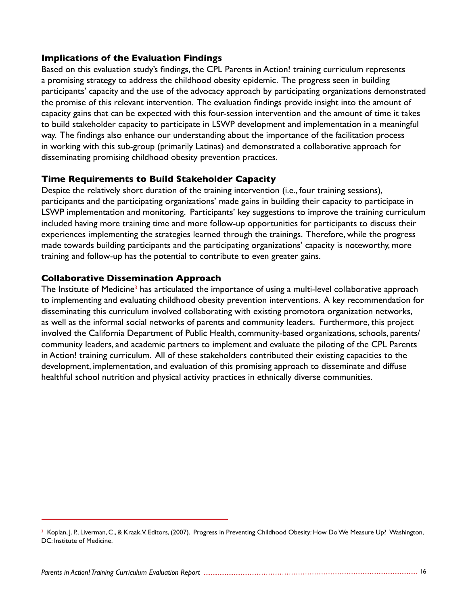#### **Implications of the Evaluation Findings**

Based on this evaluation study's findings, the CPL Parents in Action! training curriculum represents a promising strategy to address the childhood obesity epidemic. The progress seen in building participants' capacity and the use of the advocacy approach by participating organizations demonstrated the promise of this relevant intervention. The evaluation findings provide insight into the amount of capacity gains that can be expected with this four-session intervention and the amount of time it takes to build stakeholder capacity to participate in LSWP development and implementation in a meaningful way. The findings also enhance our understanding about the importance of the facilitation process in working with this sub-group (primarily Latinas) and demonstrated a collaborative approach for disseminating promising childhood obesity prevention practices.

#### **Time Requirements to Build Stakeholder Capacity**

Despite the relatively short duration of the training intervention (i.e., four training sessions), participants and the participating organizations' made gains in building their capacity to participate in LSWP implementation and monitoring. Participants' key suggestions to improve the training curriculum included having more training time and more follow-up opportunities for participants to discuss their experiences implementing the strategies learned through the trainings. Therefore, while the progress made towards building participants and the participating organizations' capacity is noteworthy, more training and follow-up has the potential to contribute to even greater gains.

#### **Collaborative Dissemination Approach**

The Institute of Medicine<sup>3</sup> has articulated the importance of using a multi-level collaborative approach to implementing and evaluating childhood obesity prevention interventions. A key recommendation for disseminating this curriculum involved collaborating with existing promotora organization networks, as well as the informal social networks of parents and community leaders. Furthermore, this project involved the California Department of Public Health, community-based organizations, schools, parents/ community leaders, and academic partners to implement and evaluate the piloting of the CPL Parents in Action! training curriculum. All of these stakeholders contributed their existing capacities to the development, implementation, and evaluation of this promising approach to disseminate and diffuse healthful school nutrition and physical activity practices in ethnically diverse communities.

<sup>&</sup>lt;sup>3</sup> Koplan, J. P., Liverman, C., & Kraak,V. Editors, (2007). Progress in Preventing Childhood Obesity: How Do We Measure Up? Washington, DC: Institute of Medicine.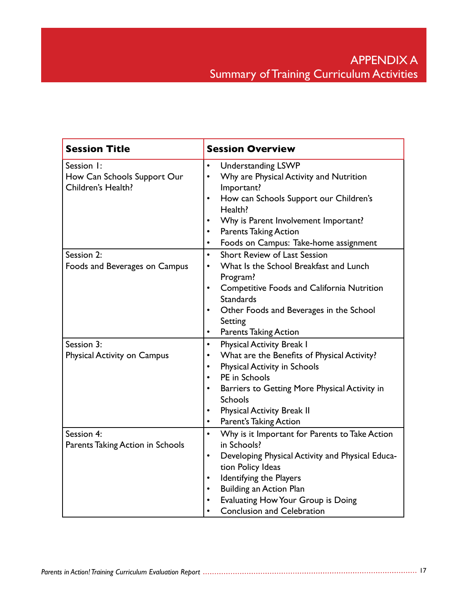| <b>Session Title</b>                                            | <b>Session Overview</b>                                                                                                                                                                                                                                                                                                        |  |  |  |
|-----------------------------------------------------------------|--------------------------------------------------------------------------------------------------------------------------------------------------------------------------------------------------------------------------------------------------------------------------------------------------------------------------------|--|--|--|
| Session I:<br>How Can Schools Support Our<br>Children's Health? | $\bullet$<br><b>Understanding LSWP</b><br>Why are Physical Activity and Nutrition<br>$\bullet$<br>Important?<br>How can Schools Support our Children's<br>٠<br>Health?<br>Why is Parent Involvement Important?<br>$\bullet$<br><b>Parents Taking Action</b><br>$\bullet$<br>Foods on Campus: Take-home assignment<br>$\bullet$ |  |  |  |
| Session 2:<br>Foods and Beverages on Campus                     | <b>Short Review of Last Session</b><br>$\bullet$<br>What Is the School Breakfast and Lunch<br>$\bullet$<br>Program?<br>Competitive Foods and California Nutrition<br>$\bullet$<br><b>Standards</b><br>Other Foods and Beverages in the School<br>Setting<br><b>Parents Taking Action</b><br>$\bullet$                          |  |  |  |
| Session 3:<br>Physical Activity on Campus                       | <b>Physical Activity Break I</b><br>$\bullet$<br>What are the Benefits of Physical Activity?<br>$\bullet$<br>Physical Activity in Schools<br>PE in Schools<br>$\bullet$<br>Barriers to Getting More Physical Activity in<br><b>Schools</b><br><b>Physical Activity Break II</b><br>Parent's Taking Action<br>$\bullet$         |  |  |  |
| Session 4:<br>Parents Taking Action in Schools                  | $\bullet$<br>Why is it Important for Parents to Take Action<br>in Schools?<br>Developing Physical Activity and Physical Educa-<br>$\bullet$<br>tion Policy Ideas<br>Identifying the Players<br>$\bullet$<br><b>Building an Action Plan</b><br>Evaluating How Your Group is Doing<br><b>Conclusion and Celebration</b>          |  |  |  |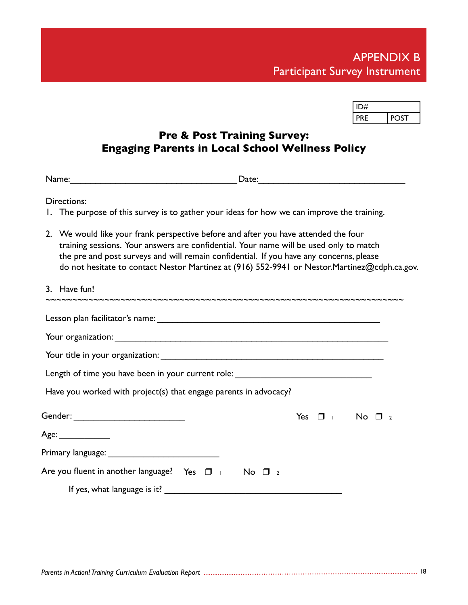| ID#        |  |
|------------|--|
| <b>PRF</b> |  |

### **Pre & Post Training Survey: Engaging Parents in Local School Wellness Policy**

Name:\_\_\_\_\_\_\_\_\_\_\_\_\_\_\_\_\_\_\_\_\_\_\_\_\_\_\_\_\_\_\_\_\_Date:\_\_\_\_\_\_\_\_\_\_\_\_\_\_\_\_\_\_\_\_\_\_\_\_\_\_\_\_\_

Directions:

- 1. The purpose of this survey is to gather your ideas for how we can improve the training.
- 2. We would like your frank perspective before and after you have attended the four training sessions. Your answers are confidential. Your name will be used only to match the pre and post surveys and will remain confidential. If you have any concerns, please do not hesitate to contact Nestor Martinez at (916) 552-9941 or Nestor.Martinez@cdph.ca.gov.

| 3. Have fun!                                                                     |                        |  |
|----------------------------------------------------------------------------------|------------------------|--|
|                                                                                  |                        |  |
|                                                                                  |                        |  |
|                                                                                  |                        |  |
| Length of time you have been in your current role: _____________________________ |                        |  |
| Have you worked with project(s) that engage parents in advocacy?                 |                        |  |
| Gender: ______________________________                                           | Yes $\Box$ No $\Box$ 2 |  |
| Age: _____________                                                               |                        |  |
|                                                                                  |                        |  |
| Are you fluent in another language? Yes $\Box$ $\Box$ No $\Box$ 2                |                        |  |
|                                                                                  |                        |  |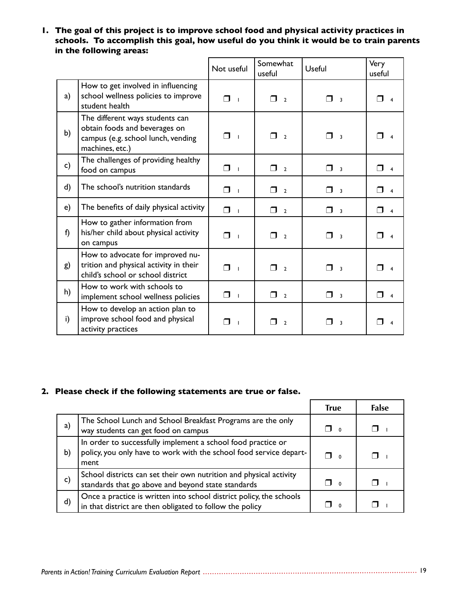**1. The goal of this project is to improve school food and physical activity practices in schools. To accomplish this goal, how useful do you think it would be to train parents in the following areas:**

|    |                                                                                                                           | Not useful          | Somewhat<br>useful            | Useful                            | Very<br>useful           |
|----|---------------------------------------------------------------------------------------------------------------------------|---------------------|-------------------------------|-----------------------------------|--------------------------|
| a) | How to get involved in influencing<br>school wellness policies to improve<br>student health                               | ⊓<br>$\blacksquare$ | ⊓<br>$\overline{2}$           | ⊓<br>$\overline{\mathbf{3}}$      | $\overline{4}$           |
| b) | The different ways students can<br>obtain foods and beverages on<br>campus (e.g. school lunch, vending<br>machines, etc.) | ⊓<br>$\blacksquare$ | ⊓<br>$\overline{2}$           | ⊓<br>$\overline{\mathbf{3}}$      | $\overline{\mathbf{4}}$  |
| c) | The challenges of providing healthy<br>food on campus                                                                     | $\mathsf{\Pi}$      | $\Box$ 2                      | $\Box$ 3                          | ⊓<br>$\overline{4}$      |
| d) | The school's nutrition standards                                                                                          | ⊓ ⊥                 | $\Box$ 2                      | $\Box$ 3                          | ⊓<br>$\overline{4}$      |
| e) | The benefits of daily physical activity                                                                                   | ⊓<br>$\blacksquare$ | $\Box$<br>$\overline{2}$      | $\Box$<br>$\overline{\mathbf{3}}$ | ⊓<br>$\overline{4}$      |
| f) | How to gather information from<br>his/her child about physical activity<br>on campus                                      | $\Box$              | $\Box$ <sub>2</sub>           | $\Box$                            | ⊓<br>$\overline{4}$      |
| g) | How to advocate for improved nu-<br>trition and physical activity in their<br>child's school or school district           | ⊓                   | ⊓<br>$\overline{\phantom{a}}$ | ⊓<br>$\overline{\mathbf{3}}$      | $\overline{4}$           |
| h) | How to work with schools to<br>implement school wellness policies                                                         | $\Box$              | $\Box$ 2                      | $\Box$                            | $\Box$<br>$\overline{4}$ |
| i) | How to develop an action plan to<br>improve school food and physical<br>activity practices                                | ⊓                   | - 1<br>$\overline{2}$         | ×.<br>$\overline{\mathbf{3}}$     | 4                        |

#### **2. Please check if the following statements are true or false.**

|    |                                                                                                                                            | <b>True</b> | <b>False</b> |
|----|--------------------------------------------------------------------------------------------------------------------------------------------|-------------|--------------|
| a) | The School Lunch and School Breakfast Programs are the only<br>way students can get food on campus                                         | $\Box$ o    |              |
| b) | In order to successfully implement a school food practice or<br>policy, you only have to work with the school food service depart-<br>ment | $\Box$      |              |
| c) | School districts can set their own nutrition and physical activity<br>standards that go above and beyond state standards                   | $\Box$      |              |
| d) | Once a practice is written into school district policy, the schools<br>in that district are then obligated to follow the policy            |             |              |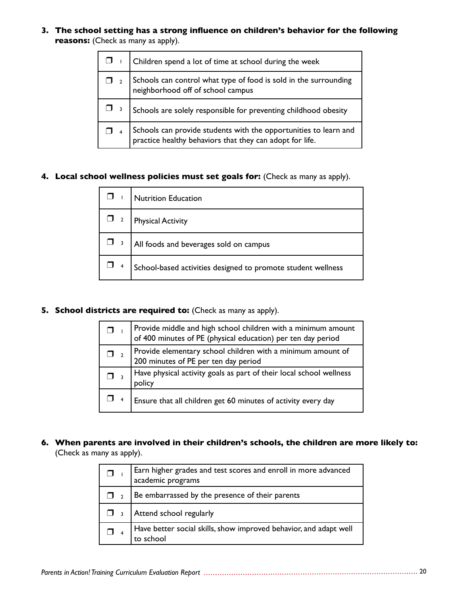**3. The school setting has a strong influence on children's behavior for the following reasons:** (Check as many as apply).

|                                                                                                                | Children spend a lot of time at school during the week                                                                       |  |  |
|----------------------------------------------------------------------------------------------------------------|------------------------------------------------------------------------------------------------------------------------------|--|--|
| $\Box$ 2 Schools can control what type of food is sold in the surrounding<br>neighborhood off of school campus |                                                                                                                              |  |  |
|                                                                                                                | Schools are solely responsible for preventing childhood obesity                                                              |  |  |
|                                                                                                                | Schools can provide students with the opportunities to learn and<br>practice healthy behaviors that they can adopt for life. |  |  |

#### **4. Local school wellness policies must set goals for:** (Check as many as apply).

| <b>Nutrition Education</b>                                   |
|--------------------------------------------------------------|
| <b>Physical Activity</b>                                     |
| All foods and beverages sold on campus                       |
| School-based activities designed to promote student wellness |

#### **5. School districts are required to:** (Check as many as apply).

| Provide middle and high school children with a minimum amount<br>of 400 minutes of PE (physical education) per ten day period |
|-------------------------------------------------------------------------------------------------------------------------------|
| Provide elementary school children with a minimum amount of<br>200 minutes of PE per ten day period                           |
| Have physical activity goals as part of their local school wellness<br>policy                                                 |
| Ensure that all children get 60 minutes of activity every day                                                                 |

#### **6. When parents are involved in their children's schools, the children are more likely to:**  (Check as many as apply).

|                                                                                | Earn higher grades and test scores and enroll in more advanced<br>academic programs |  |  |
|--------------------------------------------------------------------------------|-------------------------------------------------------------------------------------|--|--|
|                                                                                | Be embarrassed by the presence of their parents                                     |  |  |
| Attend school regularly<br>$\Box$ 3                                            |                                                                                     |  |  |
| Have better social skills, show improved behavior, and adapt well<br>to school |                                                                                     |  |  |